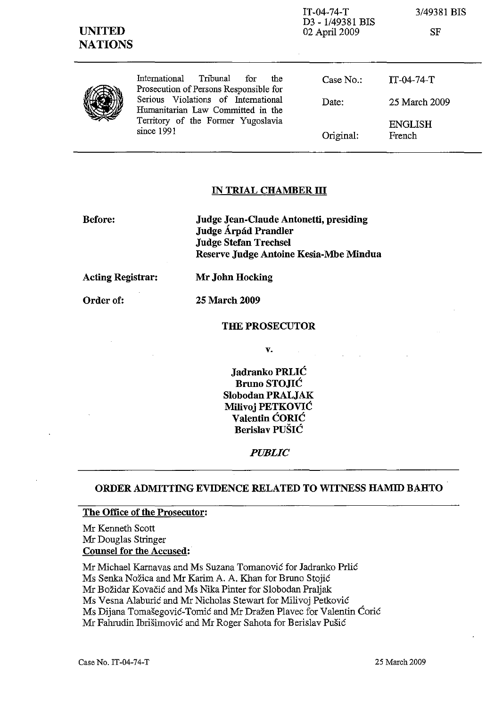| <b>UNITED</b><br><b>NATIONS</b> |                                                                                                                                                                                                                | $IT-04-74-T$<br>D3 - 1/49381 BIS<br>02 April 2009 | 3/49381 BIS<br><b>SF</b> |
|---------------------------------|----------------------------------------------------------------------------------------------------------------------------------------------------------------------------------------------------------------|---------------------------------------------------|--------------------------|
|                                 | International Tribunal<br>for<br>the<br>Prosecution of Persons Responsible for<br>Serious Violations of International<br>Humanitarian Law Committed in the<br>Territory of the Former Yugoslavia<br>since 1991 | Case $No.$ :                                      | $IT-04-74-T$             |
|                                 |                                                                                                                                                                                                                | Date:                                             | 25 March 2009            |
|                                 |                                                                                                                                                                                                                | Original:                                         | <b>ENGLISH</b><br>French |

## IN TRIAL CHAMBER **ill**

Before:

Judge Jean-Claude Antonetti, presiding Judge Árpád Prandler Judge Stefan Trechsel Reserve Judge Antoine Kesia-Mbe Mindua

Acting Registrar: Mr John Hocking

Order of: 25 March 2009

#### THE PROSECUTOR

v.

Jadranko PRLIC Bruno STOJIC Slobodan PRALJAK Milivoj PETKOVIC Valentin CORIC Berislav PUŠIĆ

#### *PUBLIC*

# ORDER ADMITTING EVIDENCE RELATED TO WITNESS HAMID BAHTO

# The Office of the Prosecutor:

Mr Kenneth Scott Mr Douglas Stringer Counsel for the Accused:

Mr Michael Karnavas and Ms Suzana Tomanovic for Iadranko Prlic Ms Senka Nozica and Mr Karim A. A. Khan for Bruno Stojic Mr Bozidar Kovacic and Ms Nika Pinter for Slobodan Praljak Ms Vesna Alaburic and Mr Nicholas Stewart for Milivoj Petkovic Ms Dijana Tomašegović-Tomić and Mr Dražen Plavec for Valentin Ćorić Mr Fahrudin Ibrisimovic and Mr Roger Sahota for Berislav Pusic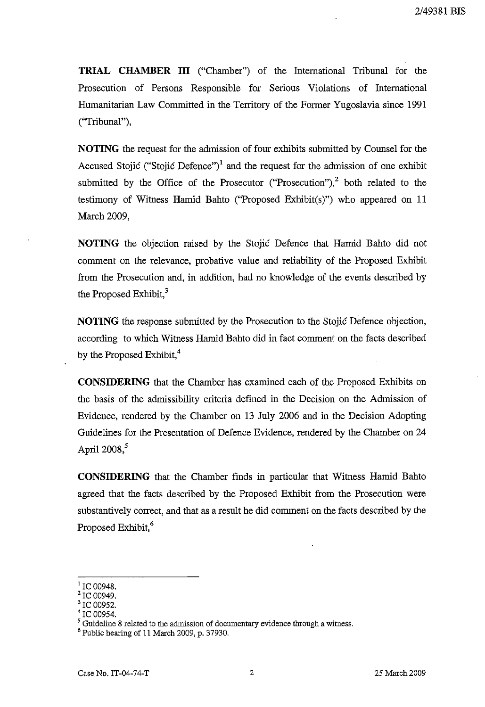**TRIAL CHAMBER III** ("Chamber") of the International Tribunal for the Prosecution of Persons Responsible for Serious Violations of International Humanitarian Law Committed in the Territory of the Former Yugoslavia since 1991 ("Tribunal"),

NOTING the request for the admission of four exhibits submitted by Counsel for the Accused Stojić ("Stojić Defence")<sup>1</sup> and the request for the admission of one exhibit submitted by the Office of the Prosecutor ("Prosecution"), $2$  both related to the testimony of Witness Hamid Bahto ("Proposed Exhibit(s)") who appeared on 11 March 2009,

**NOTING** the objection raised by the Stojic Defence that Hamid Bahto did not comment on the relevance, probative value and reliability of the Proposed Exhibit from the Prosecution and, in addition, had no knowledge of the events described by the Proposed Exhibit, $3$ 

**NOTING** the response submitted by the Prosecution to the Stojic Defence objection, according to which Witness Hamid Bahto did in fact comment on the facts described by the Proposed Exhibit,<sup>4</sup>

**CONSIDERING** that the Chamber has examined each of the Proposed Exhibits on the basis of the admissibility criteria defined in the Decision on the Admission of Evidence, rendered by the Chamber on 13 July 2006 and in the Decision Adopting Guidelines for the Presentation of Defence Evidence, rendered by the Chamber on 24 April 2008.<sup>5</sup>

**CONSIDERING** that the Chamber finds in particular that Witness Hamid Bahto agreed that the facts described by the Proposed Exhibit from the Prosecution were substantively correct, and that as a result he did comment on the facts described by the Proposed Exhibit,<sup>6</sup>

 $^1$  IC 00948.

<sup>&</sup>lt;sup>2</sup> IC 00949.

IC 00952.

<sup>&#</sup>x27;IC 00954.

 $5$  Guideline 8 related to the admission of documentary evidence through a witness.

 $<sup>6</sup>$  Public hearing of 11 March 2009, p. 37930.</sup>